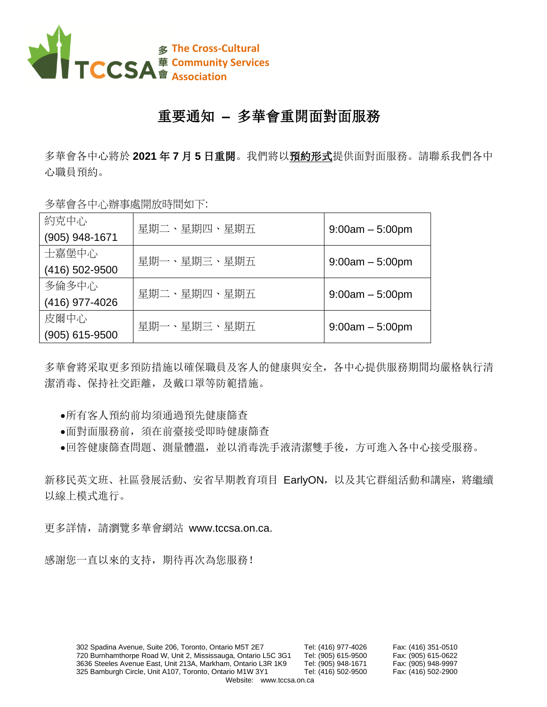

## 重要通知 **–** 多華會重開面對面服務

多華會各中心將於 **2021** 年 **7** 月 **5** 日重開。我們將以預約形式提供面對面服務。請聯系我們各中 心職員預約。

多華會各中心辦事處開放時間如下:

| 約克中心             | 星期二、星期四、星期五 | $9:00am - 5:00pm$ |
|------------------|-------------|-------------------|
| (905) 948-1671   |             |                   |
| 士嘉堡中心            | 星期一、星期三、星期五 |                   |
| (416) 502-9500   |             | $9:00am - 5:00pm$ |
| 多倫多中心            | 星期二、星期四、星期五 |                   |
| (416) 977-4026   |             | $9:00am - 5:00pm$ |
| 皮爾中心             | 星期一、星期三、星期五 |                   |
| $(905)$ 615-9500 |             | $9:00am - 5:00pm$ |

多華會將采取更多預防措施以確保職員及客人的健康與安全,各中心提供服務期間均嚴格執行清 潔消毒、保持社交距離,及戴口罩等防範措施。

- •所有客人預約前均須通過預先健康篩查
- •面對面服務前,須在前臺接受即時健康篩查
- •回答健康篩查問題、測量體溫,並以消毒洗手液清潔雙手後,方可進入各中心接受服務。

新移民英文班、社區發展活動、安省早期教育項目 EarlyON,以及其它群組活動和講座,將繼續 以線上模式進行。

更多詳情,請瀏覽多華會網站 www.tccsa.on.ca.

感謝您一直以來的支持,期待再次為您服務!